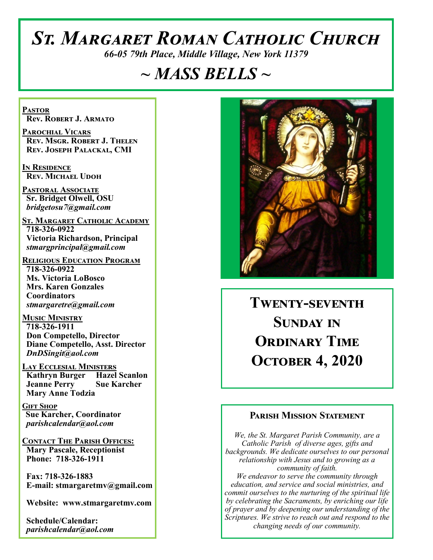# *St. Margaret Roman Catholic Church*

*66-05 79th Place, Middle Village, New York 11379*

# *~ MASS BELLS ~*

**Pastor Rev. Robert J. Armato**

**Parochial Vicars Rev. Msgr. Robert J. Thelen Rev. Joseph Palackal, CMI**

**In Residence Rev. Michael Udoh**

**Pastoral Associate Sr. Bridget Olwell, OSU**  *bridgetosu7@gmail.com*

**St. Margaret Catholic Academy 718-326-0922 Victoria Richardson, Principal**  *stmargprincipal@gmail.com*

**Religious Education Program 718-326-0922 Ms. Victoria LoBosco Mrs. Karen Gonzales Coordinators** *stmargaretre@gmail.com*

**Music Ministry 718-326-1911 Don Competello, Director Diane Competello, Asst. Director** *DnDSingit@aol.com*

**Lay Ecclesial Ministers Kathryn Burger Hazel Scanlon Jeanne Perry Sue Karcher Mary Anne Todzia**

**Gift Shop Sue Karcher, Coordinator** *parishcalendar@aol.com*

**Contact The Parish Offices: Mary Pascale, Receptionist Phone: 718-326-1911** 

 **Fax: 718-326-1883 E-mail: stmargaretmv@gmail.com**

 **Website: www.stmargaretmv.com**

 **Schedule/Calendar:** *parishcalendar@aol.com* 



**Twenty-seventh Sunday in Ordinary Time October 4, 2020** 

## **Parish Mission Statement**

*We, the St. Margaret Parish Community, are a Catholic Parish of diverse ages, gifts and backgrounds. We dedicate ourselves to our personal relationship with Jesus and to growing as a community of faith. We endeavor to serve the community through education, and service and social ministries, and commit ourselves to the nurturing of the spiritual life by celebrating the Sacraments, by enriching our life of prayer and by deepening our understanding of the Scriptures. We strive to reach out and respond to the changing needs of our community.*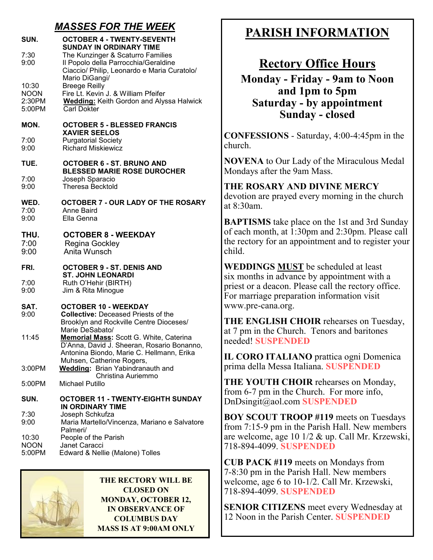# *MASSES FOR THE WEEK*

| SUN.                                     | <b>OCTOBER 4 - TWENTY-SEVENTH</b><br><b>SUNDAY IN ORDINARY TIME</b>                                                                                   |
|------------------------------------------|-------------------------------------------------------------------------------------------------------------------------------------------------------|
| 7:30<br>9:00                             | The Kunzinger & Scaturro Families<br>Il Popolo della Parrocchia/Geraldine<br>Ciaccio/ Philip, Leonardo e Maria Curatolo/<br>Mario DiGangi/            |
| 10:30<br><b>NOON</b><br>2:30PM<br>5:00PM | <b>Breege Reilly</b><br>Fire Lt. Kevin J. & William Pfeifer<br><b>Wedding:</b> Keith Gordon and Alyssa Halwick<br><b>Carl Dokter</b>                  |
| MON.                                     | <b>OCTOBER 5 - BLESSED FRANCIS</b>                                                                                                                    |
| 7:00<br>9:00                             | <b>XAVIER SEELOS</b><br><b>Purgatorial Society</b><br><b>Richard Miskiewicz</b>                                                                       |
| TUE.                                     | <b>OCTOBER 6 - ST. BRUNO AND</b><br><b>BLESSED MARIE ROSE DUROCHER</b>                                                                                |
| 7:00<br>9:00                             | Joseph Sparacio<br><b>Theresa Becktold</b>                                                                                                            |
| WED.<br>7:00<br>9:00                     | <b>OCTOBER 7 - OUR LADY OF THE ROSARY</b><br><b>Anne Baird</b><br>Ella Genna                                                                          |
| THU.<br>7:00<br>9:00                     | <b>OCTOBER 8 - WEEKDAY</b><br>Regina Gockley<br>Anita Wunsch                                                                                          |
| FRI.                                     | <b>OCTOBER 9 - ST. DENIS AND</b><br><b>ST. JOHN LEONARDI</b>                                                                                          |
| 7:00<br>9:00                             | Ruth O'Hehir (BIRTH)<br>Jim & Rita Minogue                                                                                                            |
| SAT.<br>9:00                             | <b>OCTOBER 10 - WEEKDAY</b><br><b>Collective: Deceased Priests of the</b><br>Brooklyn and Rockville Centre Dioceses/                                  |
| 11:45                                    | Marie DeSabato/<br>Memorial Mass: Scott G. White, Caterina<br>D'Anna, David J. Sheeran, Rosario Bonanno,<br>Antonina Biondo, Marie C. Hellmann, Erika |
| 3:00PM                                   | Muhsen, Catherine Rogers,<br>Wedding: Brian Yabindranauth and<br>Christina Auriemmo                                                                   |
| 5:00PM                                   | Michael Putillo                                                                                                                                       |
| SUN.                                     | <b>OCTOBER 11 - TWENTY-EIGHTH SUNDAY</b><br>IN ORDINARY TIME                                                                                          |
| 7:30<br>9:00                             | Joseph Schkufza<br>Maria Martello/Vincenza, Mariano e Salvatore<br>Palmeri/                                                                           |
| 10:30<br><b>NOON</b>                     | People of the Parish<br>Janet Caracci                                                                                                                 |

5:00PM Edward & Nellie (Malone) Tolles



**THE RECTORY WILL BE CLOSED ON MONDAY, OCTOBER 12, IN OBSERVANCE OF COLUMBUS DAY MASS IS AT 9:00AM ONLY**

# **PARISH INFORMATION**

# **Rectory Office Hours**

**Monday - Friday - 9am to Noon and 1pm to 5pm Saturday - by appointment Sunday - closed**

**CONFESSIONS** - Saturday, 4:00-4:45pm in the church.

**NOVENA** to Our Lady of the Miraculous Medal Mondays after the 9am Mass.

# **THE ROSARY AND DIVINE MERCY**

devotion are prayed every morning in the church at 8:30am.

**BAPTISMS** take place on the 1st and 3rd Sunday of each month, at 1:30pm and 2:30pm. Please call the rectory for an appointment and to register your child.

**WEDDINGS MUST** be scheduled at least six months in advance by appointment with a priest or a deacon. Please call the rectory office. For marriage preparation information visit www.pre-cana.org.

**THE ENGLISH CHOIR** rehearses on Tuesday, at 7 pm in the Church. Tenors and baritones needed! **SUSPENDED**

**IL CORO ITALIANO** prattica ogni Domenica prima della Messa Italiana. **SUSPENDED**

**THE YOUTH CHOIR** rehearses on Monday, from 6-7 pm in the Church. For more info, DnDsingit@aol.com **SUSPENDED**

**BOY SCOUT TROOP #119** meets on Tuesdays from 7:15-9 pm in the Parish Hall. New members are welcome, age 10 1/2 & up. Call Mr. Krzewski, 718-894-4099. **SUSPENDED**

**CUB PACK #119** meets on Mondays from 7-8:30 pm in the Parish Hall. New members welcome, age 6 to 10-1/2. Call Mr. Krzewski, 718-894-4099. **SUSPENDED**

**SENIOR CITIZENS** meet every Wednesday at 12 Noon in the Parish Center. **SUSPENDED**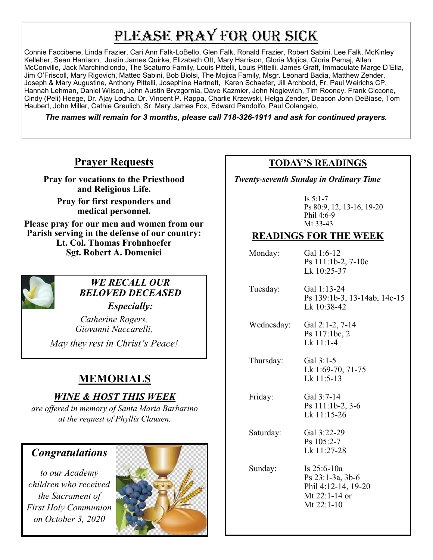# PLEASE PRAY FOR OUR SICK

Connie Faccibene, Linda Frazier, Cari Ann Falk-LoBello, Glen Falk, Ronald Frazier, Robert Sabini, Lee Falk, McKinley Kelleher, Sean Harrison, Justin James Quirke, Elizabeth Ott, Mary Harrison, Gloria Mojica, Gloria Pemaj, Allen McConville, Jack Marchindiondo, The Scaturro Family, Louis Pittelli, Louis Pittelli, James Graff, Immaculate Marge D'Elia, Jim O'Friscoll, Mary Rigovich, Matteo Sabini, Bob Biolsi, The Mojica Family, Msgr. Leonard Badia, Matthew Zender, Joseph & Mary Augustine, Anthony Pittelli, Josephine Hartnett, Karen Schaefer, Jill Archbold, Fr. Paul Weirichs CP, Hannah Lehman, Daniel Wilson, John Austin Bryzgornia, Dave Kazmier, John Nogiewich, Tim Rooney, Frank Ciccone, Cindy (Peli) Heege, Dr. Ajay Lodha, Dr. Vincent P. Rappa, Charlie Krzewski, Helga Zender, Deacon John DeBiase, Tom Haubert, John Miller, Cathie Greulich, Sr. Mary James Fox, Edward Pandolfo, Paul Colangelo,

*The names will remain for 3 months, please call 718-326-1911 and ask for continued prayers.*

# **Prayer Requests**

**Pray for vocations to the Priesthood and Religious Life.** 

**Pray for first responders and medical personnel.**

**Please pray for our men and women from our Parish serving in the defense of our country: Lt. Col. Thomas Frohnhoefer Sgt. Robert A. Domenici** 



# *WE RECALL OUR BELOVED DECEASED*

*Especially:*

*Catherine Rogers, Giovanni Naccarelli,* 

*May they rest in Christ's Peace!*

# **MEMORIALS**

# *WINE & HOST THIS WEEK*

*are offered in memory of Santa Maria Barbarino at the request of Phyllis Clausen.* 

# *Congratulations*

*to our Academy children who received the Sacrament of First Holy Communion on October 3, 2020*



# **TODAY'S READINGS**

 *Twenty-seventh Sunday in Ordinary Time*

Is 5:1-7 Ps 80:9, 12, 13-16, 19-20 Phil 4:6-9 Mt 33-43

# **READINGS FOR THE WEEK**

Monday: Gal 1:6-12 Ps 111:1b-2, 7-10c Lk 10:25-37 Tuesday: Gal 1:13-24 Ps 139:1b-3, 13-14ab, 14c-15 Lk 10:38-42 Wednesday: Gal 2:1-2, 7-14 Ps 117:1bc, 2 Lk 11:1-4 Thursday: Gal 3:1-5 Lk 1:69-70, 71-75 Lk  $11:5-13$  Friday: Gal 3:7-14 Ps 111:1b-2, 3-6 Lk 11:15-26 Saturday: Gal 3:22-29 Ps 105:2-7 Lk 11:27-28 Sunday: Is 25:6-10a Ps 23:1-3a, 3b-6 Phil 4:12-14, 19-20 Mt 22:1-14 or Mt 22:1-10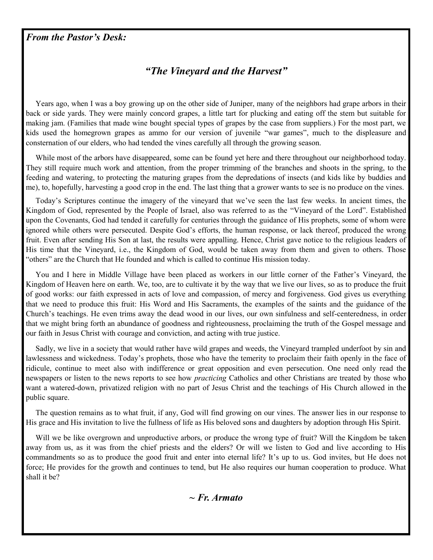### *From the Pastor's Desk:*

# *"The Vineyard and the Harvest"*

 Years ago, when I was a boy growing up on the other side of Juniper, many of the neighbors had grape arbors in their back or side yards. They were mainly concord grapes, a little tart for plucking and eating off the stem but suitable for making jam. (Families that made wine bought special types of grapes by the case from suppliers.) For the most part, we kids used the homegrown grapes as ammo for our version of juvenile "war games", much to the displeasure and consternation of our elders, who had tended the vines carefully all through the growing season.

While most of the arbors have disappeared, some can be found yet here and there throughout our neighborhood today. They still require much work and attention, from the proper trimming of the branches and shoots in the spring, to the feeding and watering, to protecting the maturing grapes from the depredations of insects (and kids like by buddies and me), to, hopefully, harvesting a good crop in the end. The last thing that a grower wants to see is no produce on the vines.

 Today's Scriptures continue the imagery of the vineyard that we've seen the last few weeks. In ancient times, the Kingdom of God, represented by the People of Israel, also was referred to as the "Vineyard of the Lord". Established upon the Covenants, God had tended it carefully for centuries through the guidance of His prophets, some of whom were ignored while others were persecuted. Despite God's efforts, the human response, or lack thereof, produced the wrong fruit. Even after sending His Son at last, the results were appalling. Hence, Christ gave notice to the religious leaders of His time that the Vineyard, i.e., the Kingdom of God, would be taken away from them and given to others. Those "others" are the Church that He founded and which is called to continue His mission today.

 You and I here in Middle Village have been placed as workers in our little corner of the Father's Vineyard, the Kingdom of Heaven here on earth. We, too, are to cultivate it by the way that we live our lives, so as to produce the fruit of good works: our faith expressed in acts of love and compassion, of mercy and forgiveness. God gives us everything that we need to produce this fruit: His Word and His Sacraments, the examples of the saints and the guidance of the Church's teachings. He even trims away the dead wood in our lives, our own sinfulness and self-centeredness, in order that we might bring forth an abundance of goodness and righteousness, proclaiming the truth of the Gospel message and our faith in Jesus Christ with courage and conviction, and acting with true justice.

 Sadly, we live in a society that would rather have wild grapes and weeds, the Vineyard trampled underfoot by sin and lawlessness and wickedness. Today's prophets, those who have the temerity to proclaim their faith openly in the face of ridicule, continue to meet also with indifference or great opposition and even persecution. One need only read the newspapers or listen to the news reports to see how *practicing* Catholics and other Christians are treated by those who want a watered-down, privatized religion with no part of Jesus Christ and the teachings of His Church allowed in the public square.

 The question remains as to what fruit, if any, God will find growing on our vines. The answer lies in our response to His grace and His invitation to live the fullness of life as His beloved sons and daughters by adoption through His Spirit.

Will we be like overgrown and unproductive arbors, or produce the wrong type of fruit? Will the Kingdom be taken away from us, as it was from the chief priests and the elders? Or will we listen to God and live according to His commandments so as to produce the good fruit and enter into eternal life? It's up to us. God invites, but He does not force; He provides for the growth and continues to tend, but He also requires our human cooperation to produce. What shall it be?

### *~ Fr. Armato*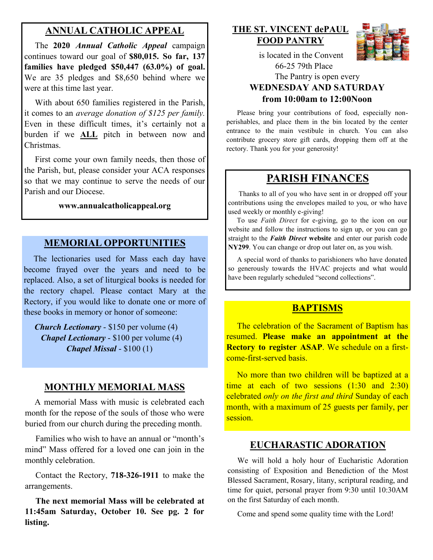# **ANNUAL CATHOLIC APPEAL**

 The **2020** *Annual Catholic Appeal* campaign continues toward our goal of **\$80,015. So far, 137 families have pledged \$50,447 (63.0%) of goal.**  We are 35 pledges and \$8,650 behind where we were at this time last year.

With about 650 families registered in the Parish, it comes to an *average donation of \$125 per family.*  Even in these difficult times, it's certainly not a burden if we **ALL** pitch in between now and Christmas.

 First come your own family needs, then those of the Parish, but, please consider your ACA responses so that we may continue to serve the needs of our Parish and our Diocese. Ĭ,

#### **www.annualcatholicappeal.org**

#### **MEMORIAL OPPORTUNITIES**

 The lectionaries used for Mass each day have become frayed over the years and need to be replaced. Also, a set of liturgical books is needed for the rectory chapel. Please contact Mary at the Rectory, if you would like to donate one or more of these books in memory or honor of someone:

 *Church Lectionary* - \$150 per volume (4) *Chapel Lectionary* - \$100 per volume (4) *Chapel Missal* - \$100 (1)

#### **MONTHLY MEMORIAL MASS**

 A memorial Mass with music is celebrated each month for the repose of the souls of those who were buried from our church during the preceding month.

 Families who wish to have an annual or "month's mind" Mass offered for a loved one can join in the monthly celebration.

 Contact the Rectory, **718-326-1911** to make the arrangements.

 **The next memorial Mass will be celebrated at 11:45am Saturday, October 10. See pg. 2 for listing.** 

## **THE ST. VINCENT dePAUL FOOD PANTRY**



 is located in the Convent 66-25 79th Place

### The Pantry is open every **WEDNESDAY AND SATURDAY from 10:00am to 12:00Noon**

 Please bring your contributions of food, especially nonperishables, and place them in the bin located by the center entrance to the main vestibule in church. You can also contribute grocery store gift cards, dropping them off at the rectory. Thank you for your generosity!

# **PARISH FINANCES**

 Thanks to all of you who have sent in or dropped off your contributions using the envelopes mailed to you, or who have used weekly or monthly e-giving!

 To use *Faith Direct* for e-giving, go to the icon on our website and follow the instructions to sign up, or you can go straight to the *Faith Direct* **website** and enter our parish code **NY299**. You can change or drop out later on, as you wish.

 A special word of thanks to parishioners who have donated so generously towards the HVAC projects and what would have been regularly scheduled "second collections".

#### **BAPTISMS**

 The celebration of the Sacrament of Baptism has resumed. **Please make an appointment at the Rectory to register ASAP**. We schedule on a firstcome-first-served basis.

 No more than two children will be baptized at a time at each of two sessions (1:30 and 2:30) celebrated *only on the first and third* Sunday of each month, with a maximum of 25 guests per family, per session.

#### **EUCHARASTIC ADORATION**

 We will hold a holy hour of Eucharistic Adoration consisting of Exposition and Benediction of the Most Blessed Sacrament, Rosary, litany, scriptural reading, and time for quiet, personal prayer from 9:30 until 10:30AM on the first Saturday of each month.

Come and spend some quality time with the Lord!